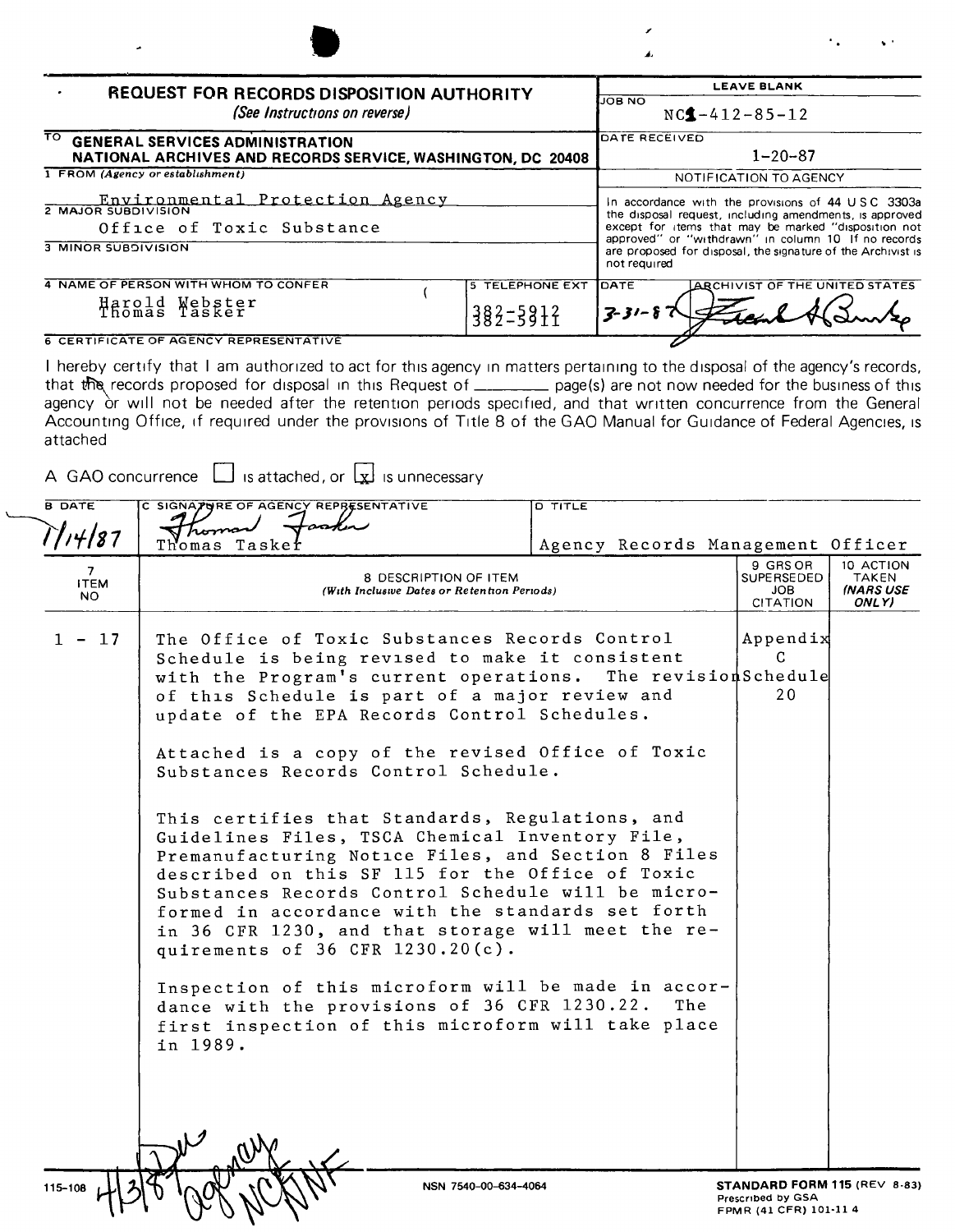| <b>LEAVE BLANK</b>                                                                                                                                                                                                          |
|-----------------------------------------------------------------------------------------------------------------------------------------------------------------------------------------------------------------------------|
| ON BOLI<br>$NC4 - 412 - 85 - 12$                                                                                                                                                                                            |
| <b>DATE RECEIVED</b><br>$1 - 20 - 87$<br>NATIONAL ARCHIVES AND RECORDS SERVICE, WASHINGTON, DC 20408                                                                                                                        |
| NOTIFICATION TO AGENCY                                                                                                                                                                                                      |
| In accordance with the provisions of 44 USC 3303a<br>the disposal request, including amendments, is approved<br>except for items that may be marked "disposition not<br>approved" or "withdrawn" in column 10 If no records |
| are proposed for disposal, the signature of the Archivist is<br>not required                                                                                                                                                |
| <b>TELEPHONE EXT</b><br>IDATE<br><b>ARCHIVIST OF THE UNITED STATES</b><br>$382 - 5912$<br>$7 - 31 - 8$                                                                                                                      |
|                                                                                                                                                                                                                             |

**6 CERTIFICATE OF AGENCY REPRESENTATIVE** 

I hereby certify that I am authorized to act for this agency in matters pertaining to the disposal of the agency's records, that the records proposed for disposal in this Request of \_\_\_\_\_\_\_\_\_\_ page(s) are not now needed for the business of this agency or will not be needed after the retention periods specified, and that written concurrence from attached

A GAO concurrence  $\Box$  is attached, or  $\Box$  is unnecessary

| <b>B DATE</b>    | C SIGNATORE OF AGENCY REPRESENTATIVE                                                                   | <b>D TITLE</b>                                     |                                                   |                           |
|------------------|--------------------------------------------------------------------------------------------------------|----------------------------------------------------|---------------------------------------------------|---------------------------|
| T/14/87          | homan                                                                                                  |                                                    |                                                   |                           |
|                  | Taskef<br>Thomas                                                                                       | Agency Records Management Officer                  |                                                   |                           |
| 7<br><b>ITEM</b> | 8 DESCRIPTION OF ITEM                                                                                  |                                                    | 9 GRS OR<br>SUPERSEDED                            | 10 ACTION<br>TAKEN        |
| NO.              | (With Inclusive Dates or Retention Periods)                                                            |                                                    | <b>JOB</b><br><b>CITATION</b>                     | <b>INARS USE</b><br>ONLY) |
|                  |                                                                                                        |                                                    |                                                   |                           |
| $1 - 17$         | The Office of Toxic Substances Records Control                                                         |                                                    | Appendix                                          |                           |
|                  | Schedule is being revised to make it consistent                                                        |                                                    | C.                                                |                           |
|                  | with the Program's current operations. The revisionSchedule                                            |                                                    |                                                   |                           |
|                  | of this Schedule is part of a major review and                                                         |                                                    | 20                                                |                           |
|                  | update of the EPA Records Control Schedules.                                                           |                                                    |                                                   |                           |
|                  |                                                                                                        |                                                    |                                                   |                           |
|                  | Attached is a copy of the revised Office of Toxic<br>Substances Records Control Schedule.              |                                                    |                                                   |                           |
|                  |                                                                                                        |                                                    |                                                   |                           |
|                  |                                                                                                        |                                                    |                                                   |                           |
|                  | This certifies that Standards, Regulations, and                                                        |                                                    |                                                   |                           |
|                  | Guidelines Files, TSCA Chemical Inventory File,                                                        |                                                    |                                                   |                           |
|                  | Premanufacturing Notice Files, and Section 8 Files<br>described on this SF 115 for the Office of Toxic |                                                    |                                                   |                           |
|                  | Substances Records Control Schedule will be micro-                                                     |                                                    |                                                   |                           |
|                  | formed in accordance with the standards set forth                                                      |                                                    |                                                   |                           |
|                  |                                                                                                        | in 36 CFR 1230, and that storage will meet the re- |                                                   |                           |
|                  | quirements of 36 CFR 1230.20(c).                                                                       |                                                    |                                                   |                           |
|                  |                                                                                                        |                                                    |                                                   |                           |
|                  | Inspection of this microform will be made in accor-                                                    |                                                    |                                                   |                           |
|                  | dance with the provisions of 36 CFR 1230.22.                                                           | The                                                |                                                   |                           |
|                  | first inspection of this microform will take place                                                     |                                                    |                                                   |                           |
|                  | in 1989.                                                                                               |                                                    |                                                   |                           |
|                  |                                                                                                        |                                                    |                                                   |                           |
|                  |                                                                                                        |                                                    |                                                   |                           |
|                  |                                                                                                        |                                                    |                                                   |                           |
|                  |                                                                                                        |                                                    |                                                   |                           |
|                  |                                                                                                        |                                                    |                                                   |                           |
|                  |                                                                                                        |                                                    |                                                   |                           |
| 115-108          | NSN 7540-00-634-4064                                                                                   |                                                    | STANDARD FORM 115 (REV 8-83)<br>Prescribed by GSA |                           |
|                  |                                                                                                        |                                                    | FPMR (41 CFR) 101-11 4                            |                           |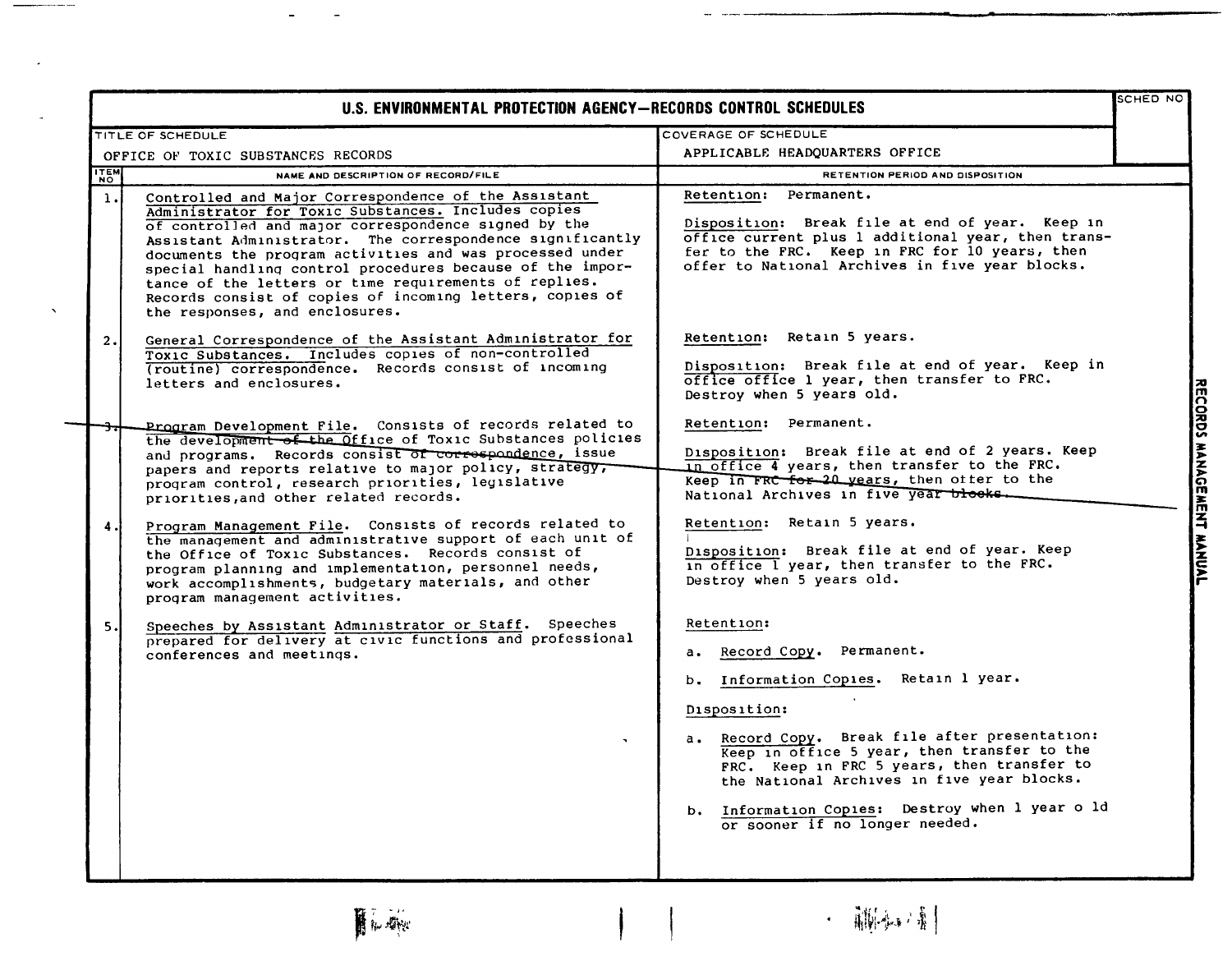|                                    | U.S. ENVIRONMENTAL PROTECTION AGENCY-RECORDS CONTROL SCHEDULES                                                                                                                                                                                                                                                                                                                                                                                                                                                                                                                                                                                                                                                                                                                                                                 |                                                                                                                                                                                                                                                                                                                                                                                                                                                                                                                                                                                                                                                                                                                                                                       | SCHED NO                  |
|------------------------------------|--------------------------------------------------------------------------------------------------------------------------------------------------------------------------------------------------------------------------------------------------------------------------------------------------------------------------------------------------------------------------------------------------------------------------------------------------------------------------------------------------------------------------------------------------------------------------------------------------------------------------------------------------------------------------------------------------------------------------------------------------------------------------------------------------------------------------------|-----------------------------------------------------------------------------------------------------------------------------------------------------------------------------------------------------------------------------------------------------------------------------------------------------------------------------------------------------------------------------------------------------------------------------------------------------------------------------------------------------------------------------------------------------------------------------------------------------------------------------------------------------------------------------------------------------------------------------------------------------------------------|---------------------------|
|                                    | TITLE OF SCHEDULE                                                                                                                                                                                                                                                                                                                                                                                                                                                                                                                                                                                                                                                                                                                                                                                                              | COVERAGE OF SCHEDULE                                                                                                                                                                                                                                                                                                                                                                                                                                                                                                                                                                                                                                                                                                                                                  |                           |
| OFFICE OF TOXIC SUBSTANCES RECORDS |                                                                                                                                                                                                                                                                                                                                                                                                                                                                                                                                                                                                                                                                                                                                                                                                                                | APPLICABLE HEADQUARTERS OFFICE                                                                                                                                                                                                                                                                                                                                                                                                                                                                                                                                                                                                                                                                                                                                        |                           |
| <b>ITEM</b>                        | NAME AND DESCRIPTION OF RECORD/FILE                                                                                                                                                                                                                                                                                                                                                                                                                                                                                                                                                                                                                                                                                                                                                                                            | RETENTION PERIOD AND DISPOSITION                                                                                                                                                                                                                                                                                                                                                                                                                                                                                                                                                                                                                                                                                                                                      |                           |
| 1.1                                | Controlled and Major Correspondence of the Assistant<br>Administrator for Toxic Substances. Includes copies<br>of controlled and major correspondence signed by the<br>Assistant Administrator. The correspondence significantly<br>documents the program activities and was processed under<br>special handling control procedures because of the impor-<br>tance of the letters or time requirements of replies.<br>Records consist of copies of incoming letters, copies of<br>the responses, and enclosures.                                                                                                                                                                                                                                                                                                               | Retention: Permanent.<br>Disposition: Break file at end of year. Keep in<br>office current plus 1 additional year, then trans-<br>fer to the FRC. Keep in FRC for 10 years, then<br>offer to National Archives in five year blocks.                                                                                                                                                                                                                                                                                                                                                                                                                                                                                                                                   |                           |
| 2.                                 | General Correspondence of the Assistant Administrator for<br>Toxic Substances. Includes copies of non-controlled<br>(routine) correspondence. Records consist of incoming<br>letters and enclosures.                                                                                                                                                                                                                                                                                                                                                                                                                                                                                                                                                                                                                           | Retention: Retain 5 years.<br>Disposition: Break file at end of year. Keep in<br>office office 1 year, then transfer to FRC.<br>Destroy when 5 years old.                                                                                                                                                                                                                                                                                                                                                                                                                                                                                                                                                                                                             |                           |
| 4.1<br>5.1                         | Program Development File. Consists of records related to<br>the development of the Office of Toxic Substances policies<br>and programs. Records consist of correspondence, issue<br>papers and reports relative to major policy, strategy,<br>program control, research priorities, legislative<br>priorities, and other related records.<br>Program Management File. Consists of records related to<br>the management and administrative support of each unit of<br>the Office of Toxic Substances. Records consist of<br>program planning and implementation, personnel needs,<br>work accomplishments, budgetary materials, and other<br>program management activities.<br>Speeches by Assistant Administrator or Staff. Speeches<br>prepared for delivery at civic functions and professional<br>conferences and meetings. | Retention: Permanent.<br>Disposition: Break file at end of 2 years. Keep<br>in office 4 years, then transfer to the FRC.<br>Keep in FRC for 20 years, then ofter to the<br>National Archives in five year blocks.<br>Retention: Retain 5 years.<br>Disposition: Break file at end of year. Keep<br>in office I year, then transfer to the FRC.<br>Destroy when 5 years old.<br>Retention:<br>Record Copy. Permanent.<br>а.<br>b. Information Copies. Retain 1 year.<br>Disposition:<br>a. Record Copy. Break file after presentation:<br>Keep in office 5 year, then transfer to the<br>FRC. Keep in FRC 5 years, then transfer to<br>the National Archives in five year blocks.<br>b. Information Copies: Destroy when 1 year o 1d<br>or sooner if no longer needed. | RECORDS MANAGEMENT MANUAL |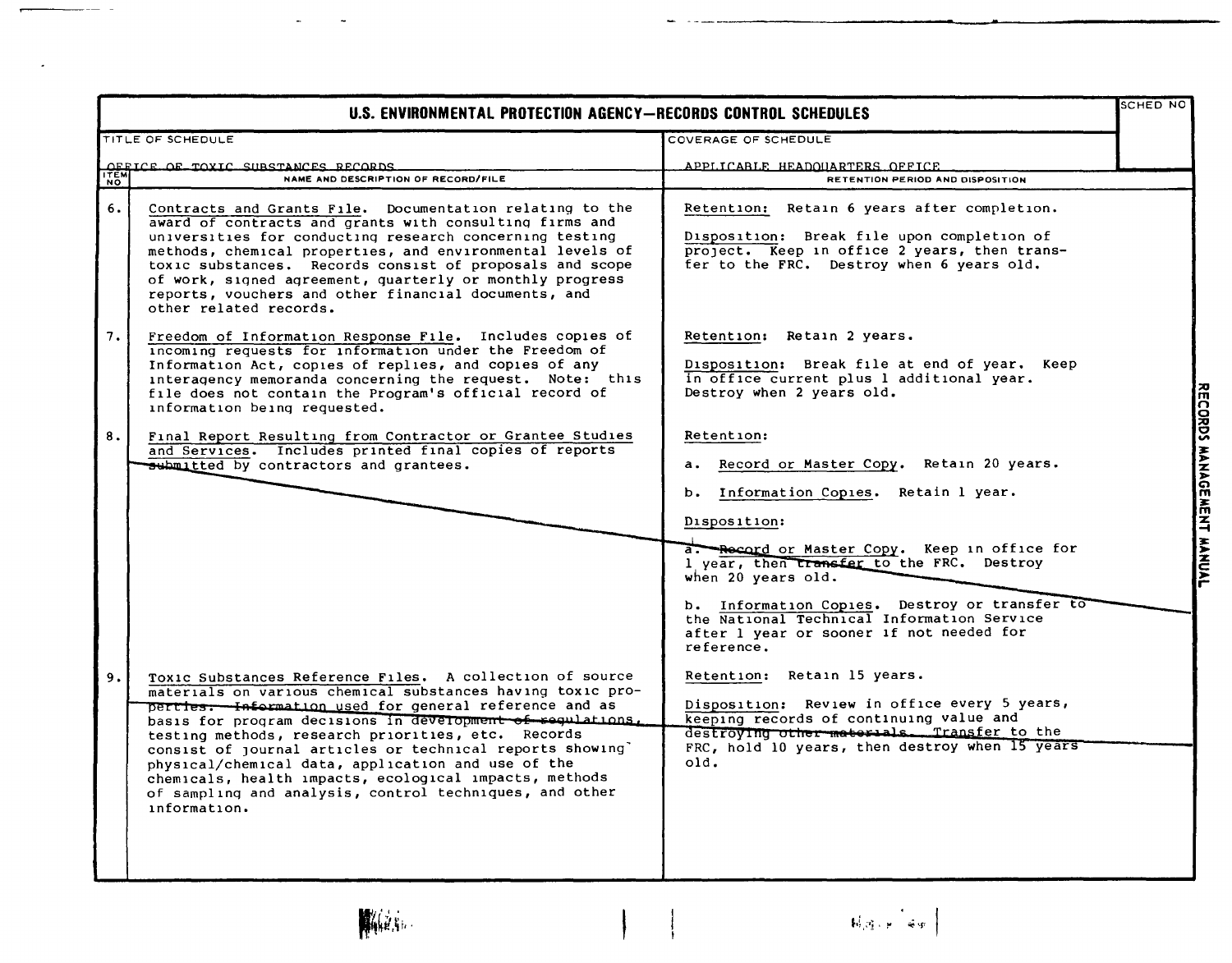|                    | U.S. ENVIRONMENTAL PROTECTION AGENCY-RECORDS CONTROL SCHEDULES                                                                                                                                                                                                                                                                                                                                                                                                                                                                                                |                                                                                                                                                                                                                                                                                                                                                                                                                                                                                                             | <b>SCHED NO</b>           |
|--------------------|---------------------------------------------------------------------------------------------------------------------------------------------------------------------------------------------------------------------------------------------------------------------------------------------------------------------------------------------------------------------------------------------------------------------------------------------------------------------------------------------------------------------------------------------------------------|-------------------------------------------------------------------------------------------------------------------------------------------------------------------------------------------------------------------------------------------------------------------------------------------------------------------------------------------------------------------------------------------------------------------------------------------------------------------------------------------------------------|---------------------------|
|                    | TITLE OF SCHEDULE                                                                                                                                                                                                                                                                                                                                                                                                                                                                                                                                             | COVERAGE OF SCHEDULE                                                                                                                                                                                                                                                                                                                                                                                                                                                                                        |                           |
| <b>ITEM</b><br>NO. | OFFICE OF TOXIC SUBSTANCES RECORDS<br>NAME AND DESCRIPTION OF RECORD/FILE                                                                                                                                                                                                                                                                                                                                                                                                                                                                                     | APPLICABLE HEADOUARTERS OFFICE<br>RETENTION PERIOD AND DISPOSITION                                                                                                                                                                                                                                                                                                                                                                                                                                          |                           |
| 6.                 | Contracts and Grants File. Documentation relating to the<br>award of contracts and grants with consulting firms and<br>universities for conducting research concerning testing<br>methods, chemical properties, and environmental levels of<br>toxic substances. Records consist of proposals and scope<br>of work, signed agreement, quarterly or monthly progress<br>reports, vouchers and other financial documents, and<br>other related records.                                                                                                         | Retention: Retain 6 years after completion.<br>Disposition: Break file upon completion of<br>project. Keep in office 2 years, then trans-<br>fer to the FRC. Destroy when 6 years old.                                                                                                                                                                                                                                                                                                                      |                           |
| 7.                 | Freedom of Information Response File. Includes copies of<br>incoming requests for information under the Freedom of<br>Information Act, copies of replies, and copies of any<br>interagency memoranda concerning the request. Note: this<br>file does not contain the Program's official record of<br>information being requested.                                                                                                                                                                                                                             | Retention: Retain 2 years.<br>Disposition: Break file at end of year. Keep<br>in office current plus 1 additional year.<br>Destroy when 2 years old.                                                                                                                                                                                                                                                                                                                                                        |                           |
| 8.                 | Final Report Resulting from Contractor or Grantee Studies<br>and Services. Includes printed final copies of reports<br>submitted by contractors and grantees.                                                                                                                                                                                                                                                                                                                                                                                                 | Retention:<br>a. Record or Master Copy. Retain 20 years.<br>b. Information Copies. Retain 1 year.<br>Disposition:                                                                                                                                                                                                                                                                                                                                                                                           | RECORDS MANAGEMENT MANUAL |
| 9.                 | Toxic Substances Reference Files. A collection of source<br>materials on various chemical substances having toxic pro-<br>perties: Information used for general reference and as<br>basis for program decisions in development of requisitions.<br>testing methods, research priorities, etc. Records<br>consist of journal articles or technical reports showing'<br>physical/chemical data, application and use of the<br>chemicals, health impacts, ecological impacts, methods<br>of sampling and analysis, control techniques, and other<br>information. | a. Record or Master Copy. Keep in office for<br>1 year, then transfer to the FRC. Destroy<br>when 20 years old.<br>b. Information Copies. Destroy or transfer to<br>the National Technical Information Service<br>after 1 year or sooner 1f not needed for<br>reference.<br>Retention: Retain 15 years.<br>Disposition: Review in office every 5 years,<br>keeping records of continuing value and<br>destroying other materials. Transfer to the<br>FRC, hold 10 years, then destroy when 15 years<br>old. |                           |

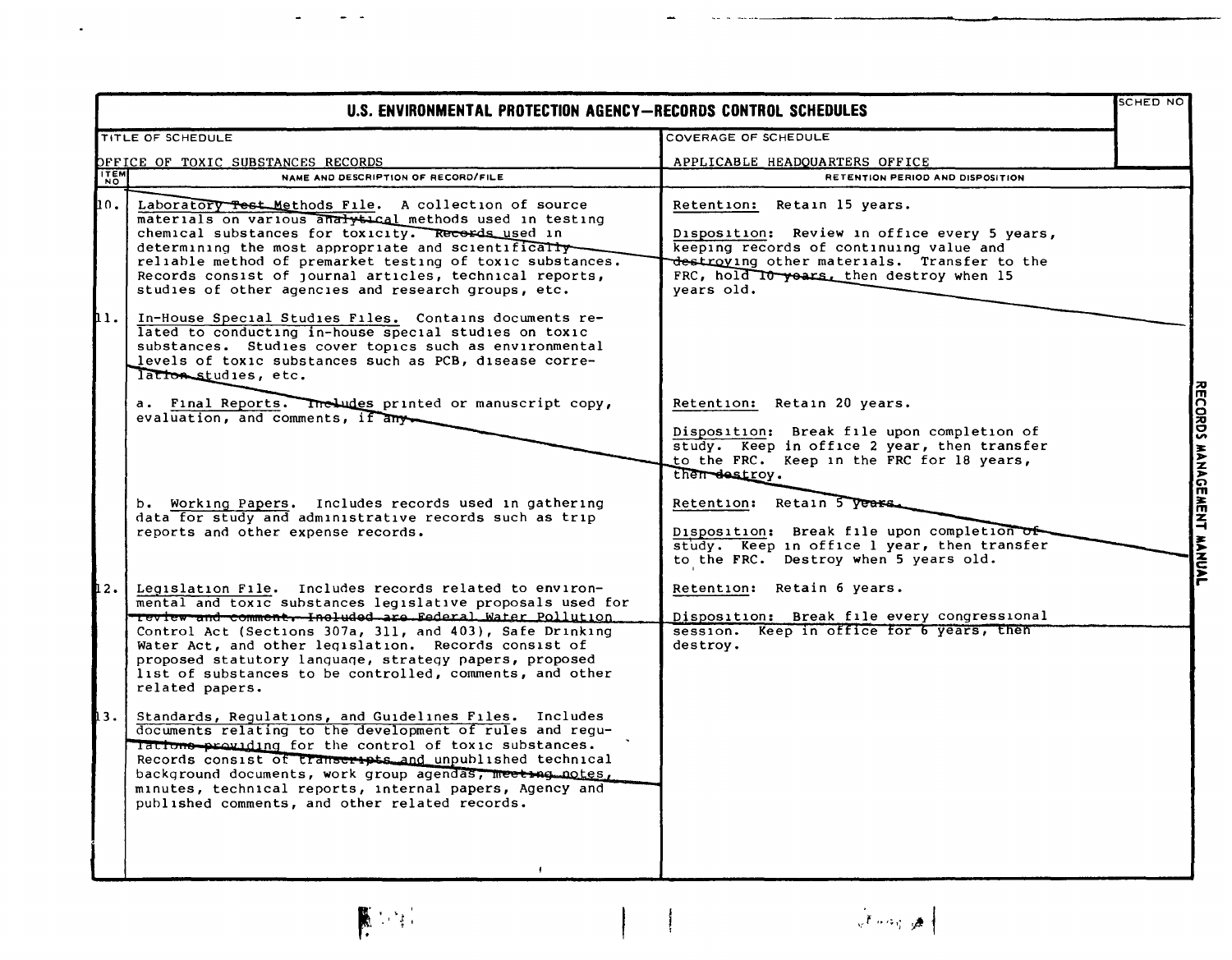|            | U.S. ENVIRONMENTAL PROTECTION AGENCY-RECORDS CONTROL SCHEDULES                                                                                                                                                                                                                                                                                                                                                                                |                                                                                                                                                                                                                                 | <b>SCHED NO</b>           |
|------------|-----------------------------------------------------------------------------------------------------------------------------------------------------------------------------------------------------------------------------------------------------------------------------------------------------------------------------------------------------------------------------------------------------------------------------------------------|---------------------------------------------------------------------------------------------------------------------------------------------------------------------------------------------------------------------------------|---------------------------|
|            | TITLE OF SCHEDULE                                                                                                                                                                                                                                                                                                                                                                                                                             | COVERAGE OF SCHEDULE                                                                                                                                                                                                            |                           |
|            | OFFICE OF TOXIC SUBSTANCES RECORDS                                                                                                                                                                                                                                                                                                                                                                                                            | APPLICABLE HEADQUARTERS OFFICE                                                                                                                                                                                                  |                           |
| <b>TEM</b> | NAME AND DESCRIPTION OF RECORD/FILE                                                                                                                                                                                                                                                                                                                                                                                                           | <b>RETENTION PERIOD AND DISPOSITION</b>                                                                                                                                                                                         |                           |
| 10. .      | Laboratory Test Methods File. A collection of source<br>materials on various analytical methods used in testing<br>chemical substances for toxicity. Records used in<br>determining the most appropriate and scientifically-<br>reliable method of premarket testing of toxic substances.<br>Records consist of journal articles, technical reports,<br>studies of other agencies and research groups, etc.                                   | Retention: Retain 15 years.<br>Disposition: Review in office every 5 years,<br>keeping records of continuing value and<br>destroying other materials. Transfer to the<br>FRC, hold It years, then destroy when 15<br>vears old. |                           |
| hı.        | In-House Special Studies Files. Contains documents re-<br>lated to conducting in-house special studies on toxic<br>substances. Studies cover topics such as environmental<br>levels of toxic substances such as PCB, disease corre-<br>lationstudies, etc.                                                                                                                                                                                    |                                                                                                                                                                                                                                 |                           |
|            | a. Final Reports. The Ludes printed or manuscript copy,<br>evaluation, and comments, if any-                                                                                                                                                                                                                                                                                                                                                  | Retention: Retain 20 years.<br>Disposition: Break file upon completion of<br>study. Keep in office 2 year, then transfer<br>to the FRC. Keep in the FRC for 18 years,<br>then destroy.                                          | RECORDS MANAGEMENT MANUAL |
|            | b. Working Papers. Includes records used in gathering<br>data for study and administrative records such as trip<br>reports and other expense records.                                                                                                                                                                                                                                                                                         | Retention: Retain 5 years.<br>Disposition: Break file upon completion of<br>study. Keep in office 1 year, then transfer<br>to the FRC. Destroy when 5 years old.                                                                |                           |
| 12.        | Legislation File. Includes records related to environ-<br>mental and toxic substances legislative proposals used for<br>Teview and comment. Included are Federal Water Pollution<br>Control Act (Sections 307a, 311, and 403), Safe Drinking<br>Water Act, and other legislation. Records consist of<br>proposed statutory language, strategy papers, proposed<br>list of substances to be controlled, comments, and other<br>related papers. | Retention: Retain 6 years.<br>Disposition: Break file every congressional<br>session. Keep in office for 6 years, then<br>destroy.                                                                                              |                           |
| 13.        | Standards, Requiations, and Guidelines Files. Includes<br>documents relating to the development of rules and regu-<br>lations providing for the control of toxic substances.<br>Records consist of transcripts and unpublished technical<br>background documents, work group agendas, meet ag notes,<br>minutes, technical reports, internal papers, Agency and<br>published comments, and other related records.                             |                                                                                                                                                                                                                                 |                           |

 $\mathcal{L}$ 



 $\frac{1}{2}$  ,  $\frac{1}{2}$ 

 $\blacksquare$ 

 $\hat{\mathbf{z}}$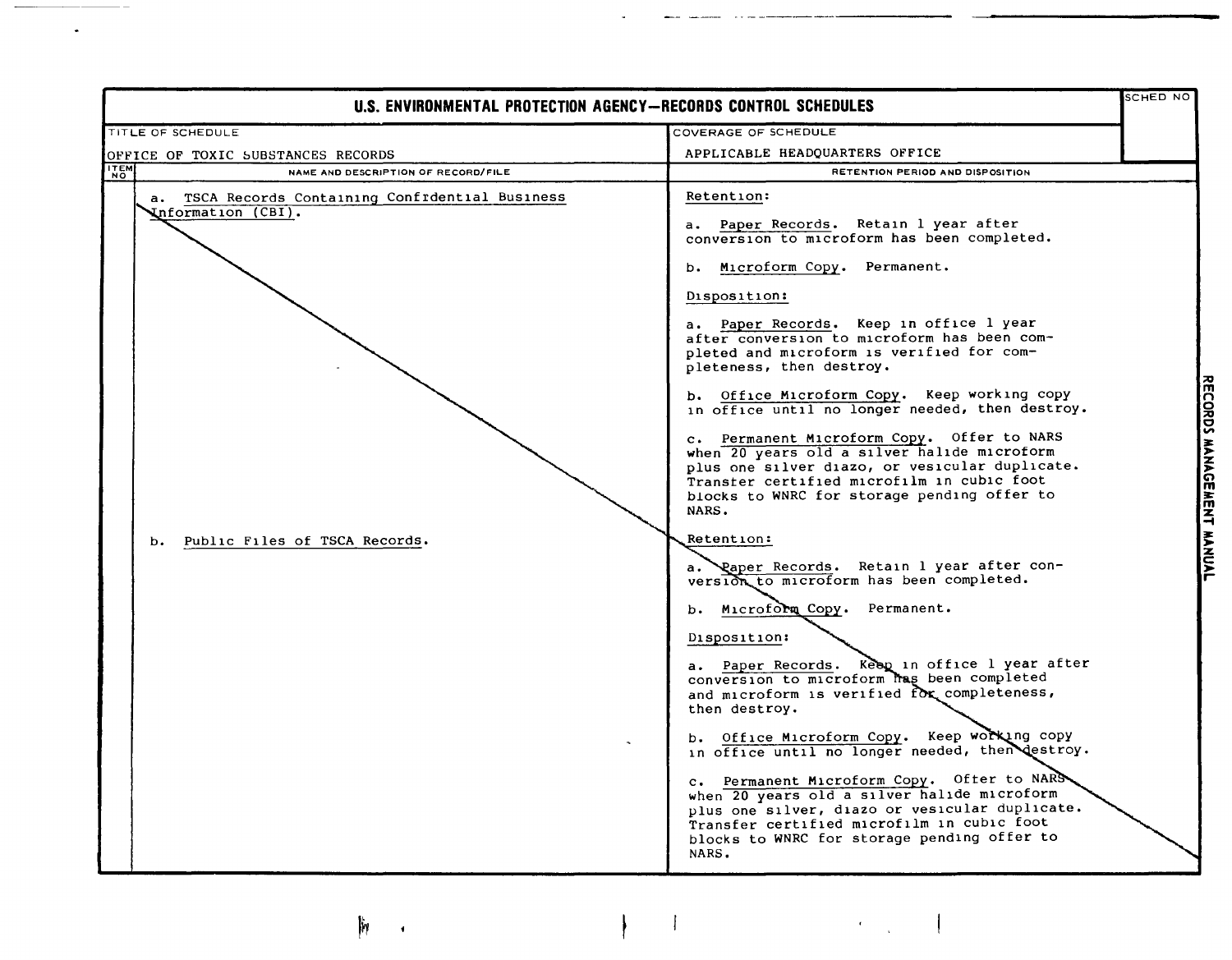| U.S. ENVIRONMENTAL PROTECTION AGENCY-RECORDS CONTROL SCHEDULES                                                |                                                                                                                                                                                                                                                                                                                                                                                                                                                                                                                                                                                                                                                                                                                                                                                                                                                                                                                                                                                                                                                                                                                                                                                                                                                                                                                                                           |  |
|---------------------------------------------------------------------------------------------------------------|-----------------------------------------------------------------------------------------------------------------------------------------------------------------------------------------------------------------------------------------------------------------------------------------------------------------------------------------------------------------------------------------------------------------------------------------------------------------------------------------------------------------------------------------------------------------------------------------------------------------------------------------------------------------------------------------------------------------------------------------------------------------------------------------------------------------------------------------------------------------------------------------------------------------------------------------------------------------------------------------------------------------------------------------------------------------------------------------------------------------------------------------------------------------------------------------------------------------------------------------------------------------------------------------------------------------------------------------------------------|--|
| TITLE OF SCHEDULE                                                                                             | COVERAGE OF SCHEDULE                                                                                                                                                                                                                                                                                                                                                                                                                                                                                                                                                                                                                                                                                                                                                                                                                                                                                                                                                                                                                                                                                                                                                                                                                                                                                                                                      |  |
|                                                                                                               | APPLICABLE HEADQUARTERS OFFICE                                                                                                                                                                                                                                                                                                                                                                                                                                                                                                                                                                                                                                                                                                                                                                                                                                                                                                                                                                                                                                                                                                                                                                                                                                                                                                                            |  |
| OFFICE OF TOXIC SUBSTANCES RECORDS<br>NAME AND DESCRIPTION OF RECORD/FILE                                     | RETENTION PERIOD AND DISPOSITION                                                                                                                                                                                                                                                                                                                                                                                                                                                                                                                                                                                                                                                                                                                                                                                                                                                                                                                                                                                                                                                                                                                                                                                                                                                                                                                          |  |
| a. TSCA Records Containing Confrdential Business<br>Information (CBI).<br>Public Files of TSCA Records.<br>b. | Retention:<br>a. Paper Records. Retain 1 year after<br>conversion to microform has been completed.<br>b. Microform Copy. Permanent.<br>Disposition:<br>a. Paper Records. Keep in office l year<br>after conversion to microform has been com-<br>pleted and microform is verified for com-<br>pleteness, then destroy.<br>b. Office Microform Copy. Keep working copy<br>in office until no longer needed, then destroy.<br>c. Permanent Microform Copy. Offer to NARS<br>when 20 years old a silver halide microform<br>plus one silver diazo, or vesicular duplicate.<br>Transter certified microfilm in cubic foot<br>blocks to WNRC for storage pending offer to<br>NARS.<br>Retention:<br>Paper Records. Retain 1 year after con-<br>version to microform has been completed.<br>b. Microform Copy. Permanent.<br>Disposition:<br>a. Paper Records. Keep in office 1 year after<br>conversion to microform has been completed<br>and microform is verified for completeness,<br>then destroy.<br>b. Office Microform Copy. Keep working copy<br>in office until no longer needed, then destroy.<br>c. Permanent Microform Copy. Ofter to NARS<br>when 20 years old a silver halide microform<br>plus one silver, diazo or vesicular duplicate.<br>Transfer certified microfilm in cubic foot<br>blocks to WNRC for storage pending offer to<br>NARS. |  |

-- ----- - - - ------ -------

 $\mathfrak{h}_!$ 

 $\bullet$ 

Г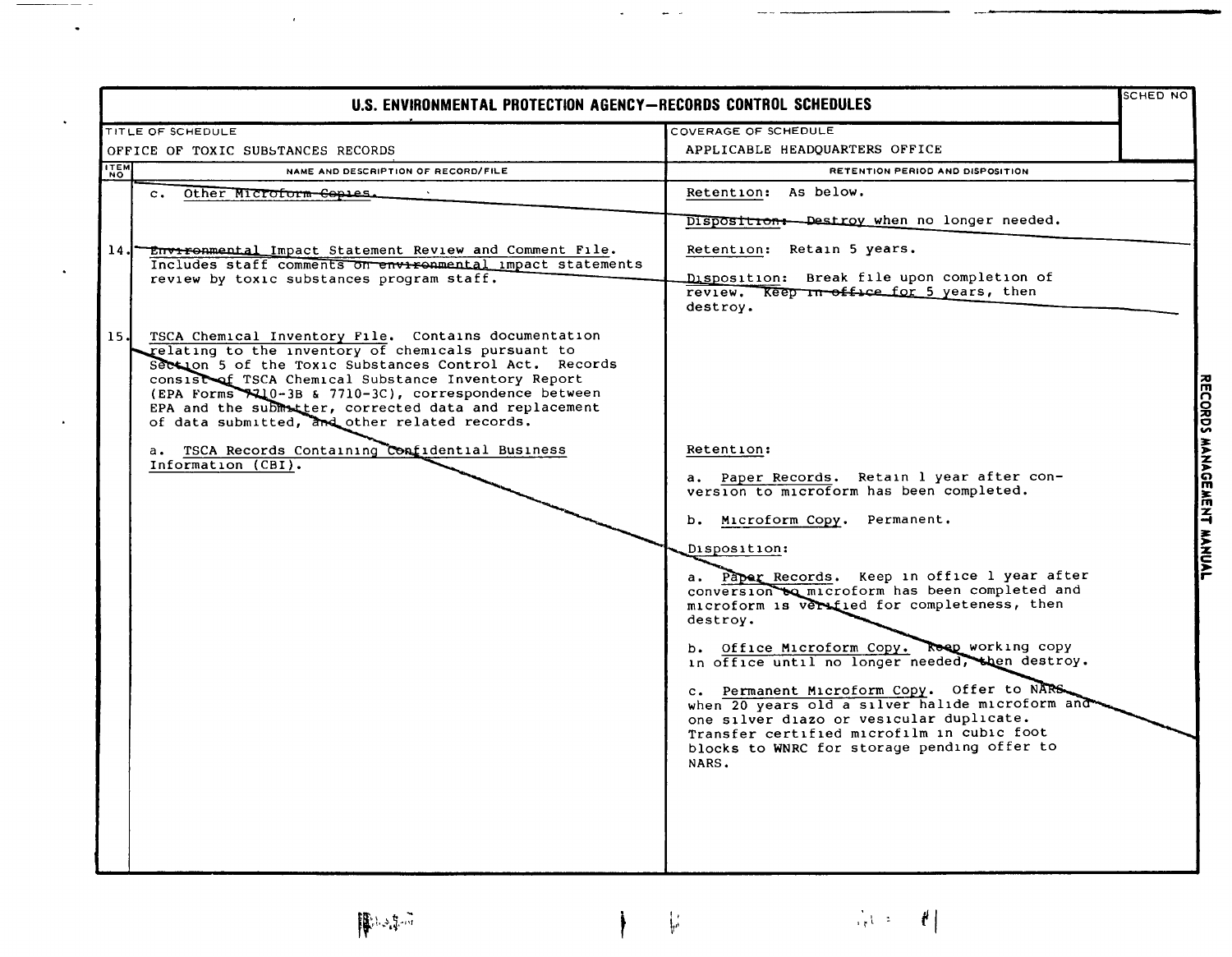| U.S. ENVIRONMENTAL PROTECTION AGENCY-RECORDS CONTROL SCHEDULES                                                                                                                                                                                                                                                                                                                                                                                                                                                                                                                                                                                                      |                                                                                                                                                                                                                                                                                                                                                                                                                                                                                                                                                                                                           | SCHED NO                  |
|---------------------------------------------------------------------------------------------------------------------------------------------------------------------------------------------------------------------------------------------------------------------------------------------------------------------------------------------------------------------------------------------------------------------------------------------------------------------------------------------------------------------------------------------------------------------------------------------------------------------------------------------------------------------|-----------------------------------------------------------------------------------------------------------------------------------------------------------------------------------------------------------------------------------------------------------------------------------------------------------------------------------------------------------------------------------------------------------------------------------------------------------------------------------------------------------------------------------------------------------------------------------------------------------|---------------------------|
| <b>TITLE OF SCHEDULE</b>                                                                                                                                                                                                                                                                                                                                                                                                                                                                                                                                                                                                                                            | COVERAGE OF SCHEDULE                                                                                                                                                                                                                                                                                                                                                                                                                                                                                                                                                                                      |                           |
| OFFICE OF TOXIC SUBSTANCES RECORDS                                                                                                                                                                                                                                                                                                                                                                                                                                                                                                                                                                                                                                  | APPLICABLE HEADQUARTERS OFFICE                                                                                                                                                                                                                                                                                                                                                                                                                                                                                                                                                                            |                           |
| <b>ITEM</b><br>NAME AND DESCRIPTION OF RECORD/FILE                                                                                                                                                                                                                                                                                                                                                                                                                                                                                                                                                                                                                  | RETENTION PERIOD AND DISPOSITION                                                                                                                                                                                                                                                                                                                                                                                                                                                                                                                                                                          |                           |
| Other Microform Copies.<br>$c_{\star}$                                                                                                                                                                                                                                                                                                                                                                                                                                                                                                                                                                                                                              | Retention: As below.                                                                                                                                                                                                                                                                                                                                                                                                                                                                                                                                                                                      |                           |
| <b>Environmental Impact Statement Review and Comment File.</b><br>14.1<br>Includes staff comments on environmental impact statements<br>review by toxic substances program staff.<br>15.<br>TSCA Chemical Inventory File. Contains documentation<br>relating to the inventory of chemicals pursuant to<br>Section 5 of the Toxic Substances Control Act. Records<br>consist of TSCA Chemical Substance Inventory Report<br>(EPA Forms +10-3B & 7710-3C), correspondence between<br>EPA and the submatter, corrected data and replacement<br>of data submitted, and other related records.<br>a. TSCA Records Containing Confidential Business<br>Information (CBI). | Disposition: Destroy when no longer needed.<br>Retention: Retain 5 years.<br>Disposition: Break file upon completion of<br>review. Keep in office for 5 years, then<br>destroy.<br>Retention:<br>a. Paper Records. Retain 1 year after con-<br>version to microform has been completed.<br>b. Microform Copy. Permanent.<br>Disposition:<br>a. Paper Records. Keep in office 1 year after<br>conversion to microform has been completed and<br>microform is verified for completeness, then<br>destroy.<br>b. Office Microform Copy. Reep working copy<br>in office until no longer needed, then destroy. | RECORDS MANAGEMENT MANUAL |
|                                                                                                                                                                                                                                                                                                                                                                                                                                                                                                                                                                                                                                                                     | c. Permanent Microform Copy. Offer to NARS.<br>when 20 years old a silver halide microform and<br>one silver diazo or vesicular duplicate.<br>Transfer certified microfilm in cubic foot<br>blocks to WNRC for storage pending offer to<br>NARS.                                                                                                                                                                                                                                                                                                                                                          |                           |
|                                                                                                                                                                                                                                                                                                                                                                                                                                                                                                                                                                                                                                                                     |                                                                                                                                                                                                                                                                                                                                                                                                                                                                                                                                                                                                           |                           |

 $|\mathbb{P}^{3,2}|\rightarrow$ 

 $\epsilon$ 

 $\bullet$ 

 $\ddot{\phantom{a}}$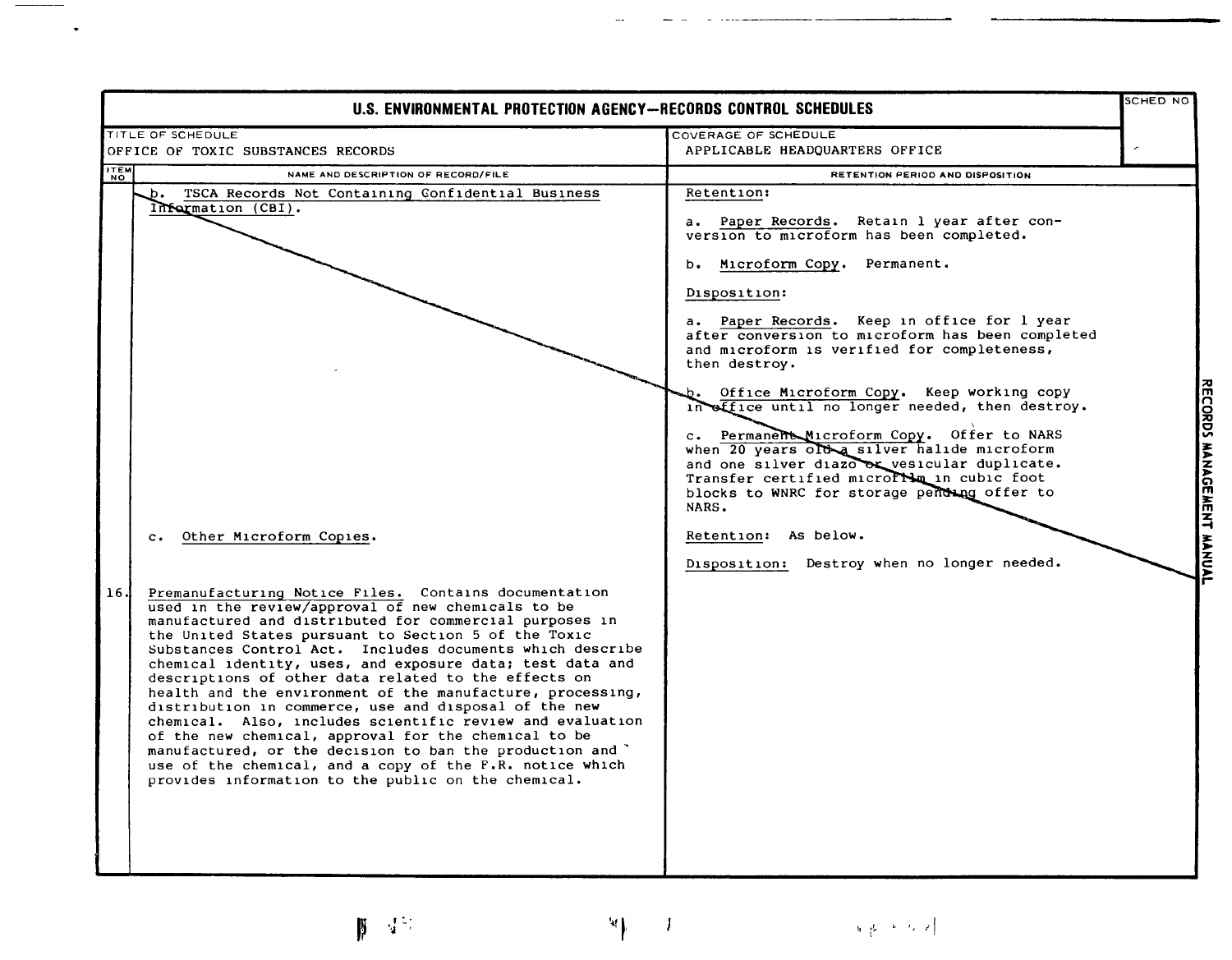| SCHED NO<br><b>U.S. ENVIRONMENTAL PROTECTION AGENCY-RECORDS CONTROL SCHEDULES</b>                                                                                                                                                                                                                                                                                                                                                                                                                                                                                                                                                                                                                                                                                                                                                                                                                                                                                                  |                                                                                                                                                                                                                                                                                                                                                                                                                                                                                                                                                                                                                                                                                                                                                      |  |
|------------------------------------------------------------------------------------------------------------------------------------------------------------------------------------------------------------------------------------------------------------------------------------------------------------------------------------------------------------------------------------------------------------------------------------------------------------------------------------------------------------------------------------------------------------------------------------------------------------------------------------------------------------------------------------------------------------------------------------------------------------------------------------------------------------------------------------------------------------------------------------------------------------------------------------------------------------------------------------|------------------------------------------------------------------------------------------------------------------------------------------------------------------------------------------------------------------------------------------------------------------------------------------------------------------------------------------------------------------------------------------------------------------------------------------------------------------------------------------------------------------------------------------------------------------------------------------------------------------------------------------------------------------------------------------------------------------------------------------------------|--|
| TITLE OF SCHEDULE<br>OFFICE OF TOXIC SUBSTANCES RECORDS                                                                                                                                                                                                                                                                                                                                                                                                                                                                                                                                                                                                                                                                                                                                                                                                                                                                                                                            | COVERAGE OF SCHEDULE<br>APPLICABLE HEADQUARTERS OFFICE                                                                                                                                                                                                                                                                                                                                                                                                                                                                                                                                                                                                                                                                                               |  |
| <b>ITEM</b><br>NAME AND DESCRIPTION OF RECORD/FILE                                                                                                                                                                                                                                                                                                                                                                                                                                                                                                                                                                                                                                                                                                                                                                                                                                                                                                                                 | RETENTION PERIOD AND DISPOSITION                                                                                                                                                                                                                                                                                                                                                                                                                                                                                                                                                                                                                                                                                                                     |  |
| TSCA Records Not Containing Confidential Business<br>.ь.<br>Information (CBI).<br>Other Microform Copies.<br>$\mathbf{C}$ .<br>16.<br>Premanufacturing Notice Files. Contains documentation<br>used in the review/approval of new chemicals to be<br>manufactured and distributed for commercial purposes in<br>the United States pursuant to Section 5 of the Toxic<br>Substances Control Act. Includes documents which describe<br>chemical identity, uses, and exposure data; test data and<br>descriptions of other data related to the effects on<br>health and the environment of the manufacture, processing,<br>distribution in commerce, use and disposal of the new<br>chemical. Also, includes scientific review and evaluation<br>of the new chemical, approval for the chemical to be<br>manufactured, or the decision to ban the production and '<br>use of the chemical, and a copy of the F.R. notice which<br>provides information to the public on the chemical. | Retention:<br>a. Paper Records. Retain 1 year after con-<br>version to microform has been completed.<br>Microform Copy. Permanent.<br>b.<br>Disposition:<br>a. Paper Records. Keep in office for 1 year<br>after conversion to microform has been completed<br>and microform is verified for completeness,<br>then destroy.<br>Office Microform Copy. Keep working copy<br>in effice until no longer needed, then destroy.<br>c. Permanent Microform Copy. Offer to NARS<br>when 20 years old a silver halide microform<br>and one silver diazo or vesicular duplicate.<br>Transfer certified micrortin in cubic foot<br>blocks to WNRC for storage pending offer to<br>NARS.<br>Retention: As below.<br>Disposition: Destroy when no longer needed. |  |

 $\mathcal{R}$ 

 $\mathcal{A}$ 

 $\label{eq:G} \mathbf{q}=\left\{ \mathbf{b}_{\mathbf{q}}\left(\mathbf{b}_{\mathbf{q}}\right)^{\top}\mathbf{b}_{\mathbf{q}}\left(\mathbf{b}_{\mathbf{q}}\right)^{\top}\mathbf{c}_{\mathbf{q}}\left(\mathbf{b}_{\mathbf{q}}\right)^{\top}\right\}$ 

 $\parallel$  45

 $\bullet$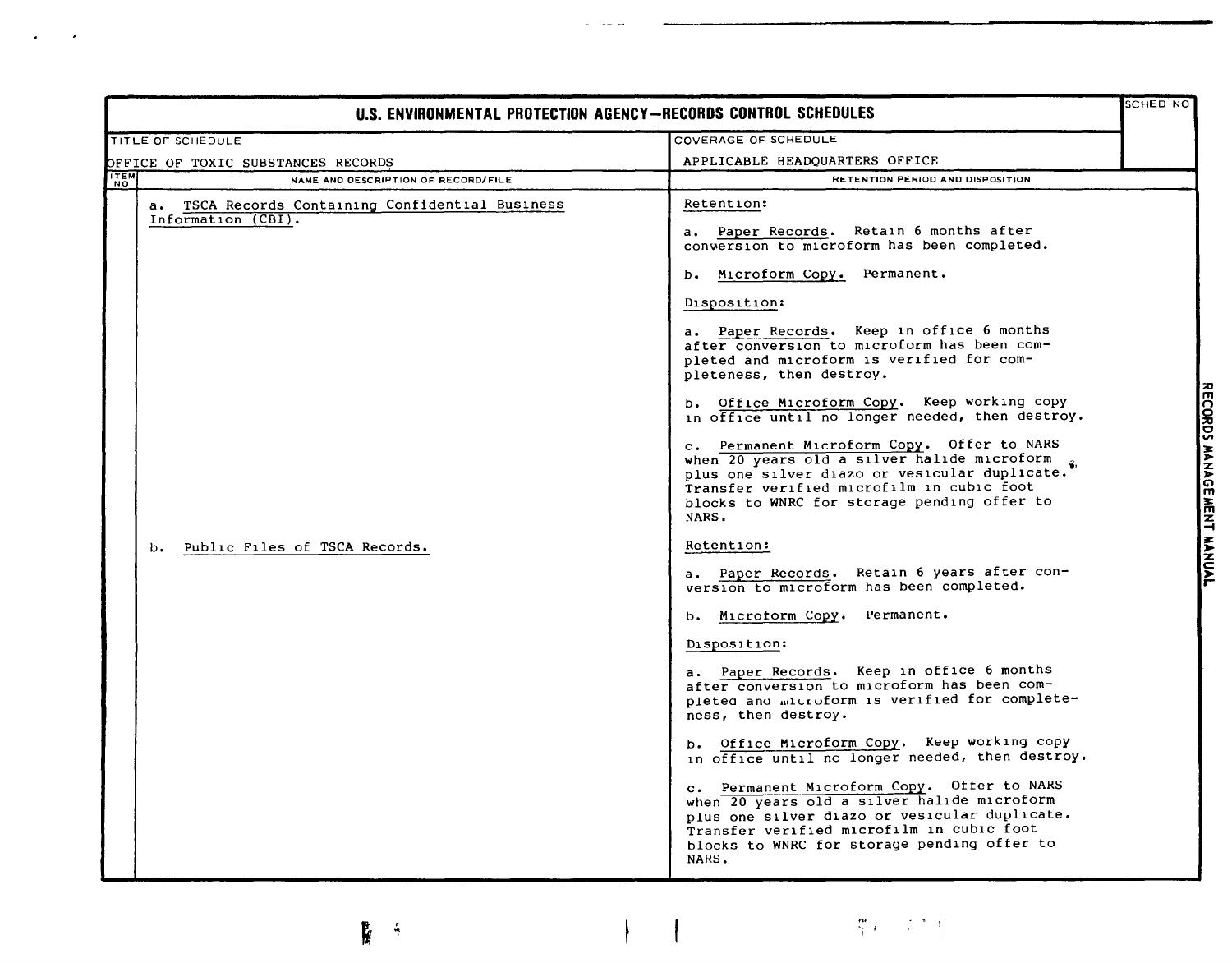| SCHED NO<br>U.S. ENVIRONMENTAL PROTECTION AGENCY-RECORDS CONTROL SCHEDULES |                                                                        |                                                                                                                                                                                                                                                 |  |                           |
|----------------------------------------------------------------------------|------------------------------------------------------------------------|-------------------------------------------------------------------------------------------------------------------------------------------------------------------------------------------------------------------------------------------------|--|---------------------------|
|                                                                            | TITLE OF SCHEDULE                                                      | COVERAGE OF SCHEDULE                                                                                                                                                                                                                            |  |                           |
|                                                                            | OFFICE OF TOXIC SUBSTANCES RECORDS                                     | APPLICABLE HEADQUARTERS OFFICE                                                                                                                                                                                                                  |  |                           |
| <b>ITEM</b>                                                                | NAME AND DESCRIPTION OF RECORD/FILE                                    | RETENTION PERIOD AND DISPOSITION                                                                                                                                                                                                                |  |                           |
|                                                                            | a. TSCA Records Containing Confidential Business<br>Information (CBI). | Retention:<br>a. Paper Records. Retain 6 months after<br>conversion to microform has been completed.                                                                                                                                            |  |                           |
|                                                                            |                                                                        | b. Microform Copy. Permanent.                                                                                                                                                                                                                   |  |                           |
|                                                                            |                                                                        | Disposition:                                                                                                                                                                                                                                    |  |                           |
|                                                                            |                                                                        | a. Paper Records. Keep in office 6 months<br>after conversion to microform has been com-<br>pleted and microform is verified for com-<br>pleteness, then destroy.                                                                               |  |                           |
|                                                                            |                                                                        | b. Office Microform Copy. Keep working copy<br>in office until no longer needed, then destroy.                                                                                                                                                  |  |                           |
|                                                                            |                                                                        | c. Permanent Microform Copy. Offer to NARS<br>when 20 years old a silver halide microform<br>plus one silver diazo or vesicular duplicate.<br>Transfer verified microfilm in cubic foot<br>blocks to WNRC for storage pending offer to<br>NARS. |  | RECORDS MANAGEMENT MANUAL |
|                                                                            | Public Files of TSCA Records.<br>$b -$                                 | Retention:                                                                                                                                                                                                                                      |  |                           |
|                                                                            |                                                                        | a. Paper Records. Retain 6 years after con-<br>version to microform has been completed.                                                                                                                                                         |  |                           |
|                                                                            |                                                                        | b. Microform Copy. Permanent.                                                                                                                                                                                                                   |  |                           |
|                                                                            |                                                                        | Disposition:                                                                                                                                                                                                                                    |  |                           |
|                                                                            |                                                                        | a. Paper Records. Keep in office 6 months<br>after conversion to microform has been com-<br>pleted and microform is verified for complete-<br>ness, then destroy.                                                                               |  |                           |
|                                                                            |                                                                        | b. Office Microform Copy. Keep working copy<br>in office until no longer needed, then destroy.                                                                                                                                                  |  |                           |
|                                                                            |                                                                        | c. Permanent Microform Copy. Offer to NARS<br>when 20 years old a silver halide microform<br>plus one silver diazo or vesicular duplicate.<br>Transfer verified microfilm in cubic foot<br>blocks to WNRC for storage pending offer to<br>NARS. |  |                           |

 $\overline{\mathcal{I}}$ 

 $-$ 

 $\sim$   $\sim$ 

 $\bullet$ 

 $\frac{1}{2}$ 

 $\frac{\partial \mathbf{r}}{\partial \mathbf{r}}$  ,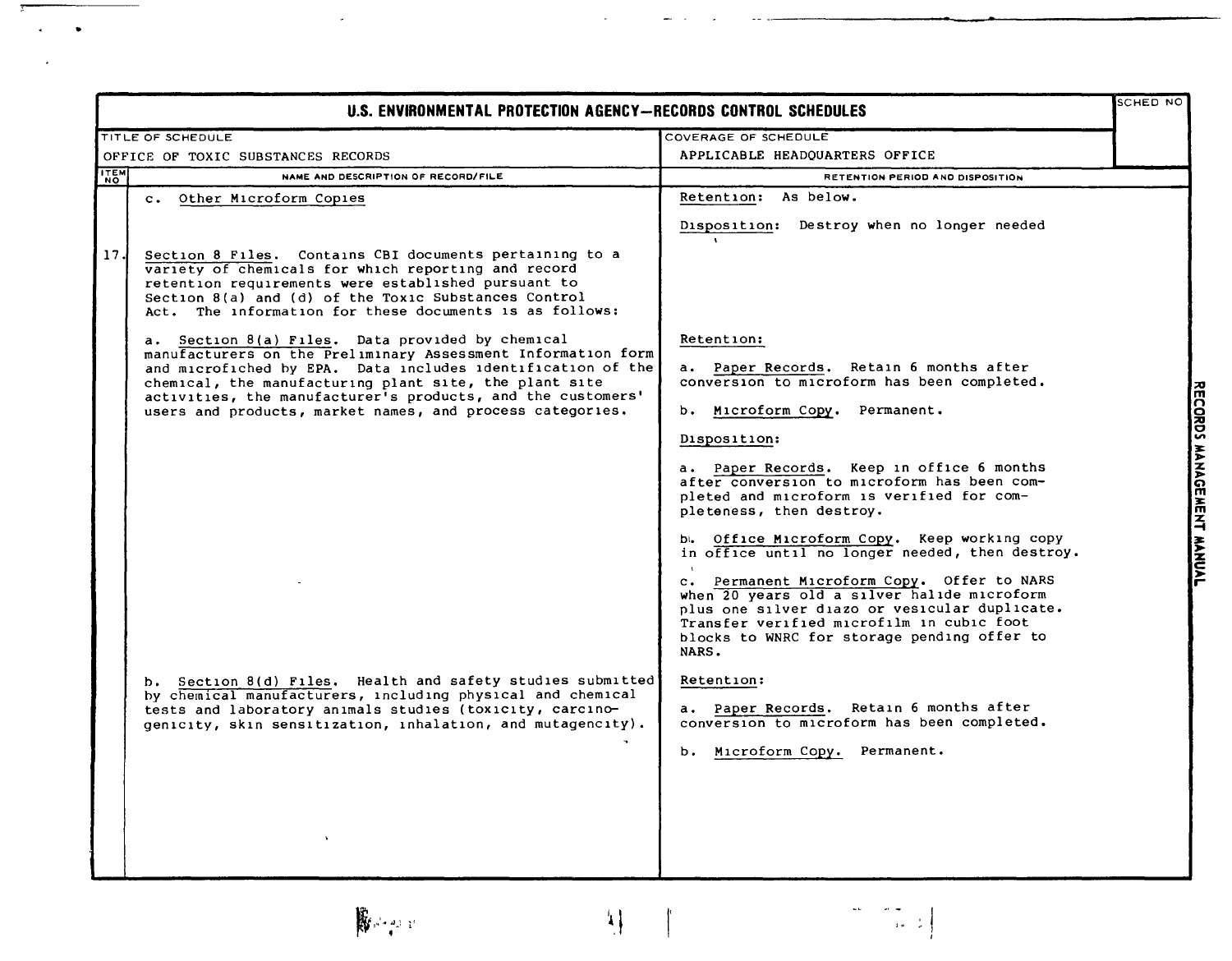| U.S. ENVIRONMENTAL PROTECTION AGENCY-RECORDS CONTROL SCHEDULES |                                                                                                                                                                                                                                                                                                                                                                       |                                                                                                                                                                                                                                                                                                                                                   | SCHED NO |                           |
|----------------------------------------------------------------|-----------------------------------------------------------------------------------------------------------------------------------------------------------------------------------------------------------------------------------------------------------------------------------------------------------------------------------------------------------------------|---------------------------------------------------------------------------------------------------------------------------------------------------------------------------------------------------------------------------------------------------------------------------------------------------------------------------------------------------|----------|---------------------------|
|                                                                | TITLE OF SCHEDULE                                                                                                                                                                                                                                                                                                                                                     | COVERAGE OF SCHEDULE                                                                                                                                                                                                                                                                                                                              |          |                           |
| OFFICE OF TOXIC SUBSTANCES RECORDS                             |                                                                                                                                                                                                                                                                                                                                                                       | APPLICABLE HEADOUARTERS OFFICE                                                                                                                                                                                                                                                                                                                    |          |                           |
| <b>ITEM</b>                                                    | NAME AND DESCRIPTION OF RECORD/FILE                                                                                                                                                                                                                                                                                                                                   | RETENTION PERIOD AND DISPOSITION                                                                                                                                                                                                                                                                                                                  |          |                           |
|                                                                | Other Microform Copies<br>$c \cdot$                                                                                                                                                                                                                                                                                                                                   | Retention: As below.<br>Disposition: Destroy when no longer needed                                                                                                                                                                                                                                                                                |          |                           |
| 17.                                                            | Section 8 Files. Contains CBI documents pertaining to a<br>variety of chemicals for which reporting and record<br>retention requirements were established pursuant to<br>Section 8(a) and (d) of the Toxic Substances Control<br>Act. The information for these documents is as follows:                                                                              |                                                                                                                                                                                                                                                                                                                                                   |          |                           |
|                                                                | a. Section 8(a) Files. Data provided by chemical<br>manufacturers on the Preliminary Assessment Information form<br>and microfiched by EPA. Data includes identification of the<br>chemical, the manufacturing plant site, the plant site<br>activities, the manufacturer's products, and the customers'<br>users and products, market names, and process categories. | Retention:<br>a. Paper Records. Retain 6 months after<br>conversion to microform has been completed.<br>Microform Copy. Permanent.<br>b. .                                                                                                                                                                                                        |          |                           |
|                                                                |                                                                                                                                                                                                                                                                                                                                                                       | Disposition:<br>a. Paper Records. Keep in office 6 months<br>after conversion to microform has been com-<br>pleted and microform is verified for com-<br>pleteness, then destroy.                                                                                                                                                                 |          | RECORDS MANAGEMENT MANUAL |
|                                                                |                                                                                                                                                                                                                                                                                                                                                                       | b. Office Microform Copy. Keep working copy<br>in office until no longer needed, then destroy.<br>c. Permanent Microform Copy. Offer to NARS<br>when 20 years old a silver halide microform<br>plus one silver diazo or vesicular duplicate.<br>Transfer verified microfilm in cubic foot<br>blocks to WNRC for storage pending offer to<br>NARS. |          |                           |
|                                                                | b. Section 8(d) Files. Health and safety studies submitted<br>by chemical manufacturers, including physical and chemical<br>tests and laboratory animals studies (toxicity, carcino-<br>genicity, skin sensitization, inhalation, and mutagencity).                                                                                                                   | Retention:<br>a. Paper Records. Retain 6 months after<br>conversion to microform has been completed.<br>Microform Copy. Permanent.<br>b.                                                                                                                                                                                                          |          |                           |



 $\mathbb{R}^2$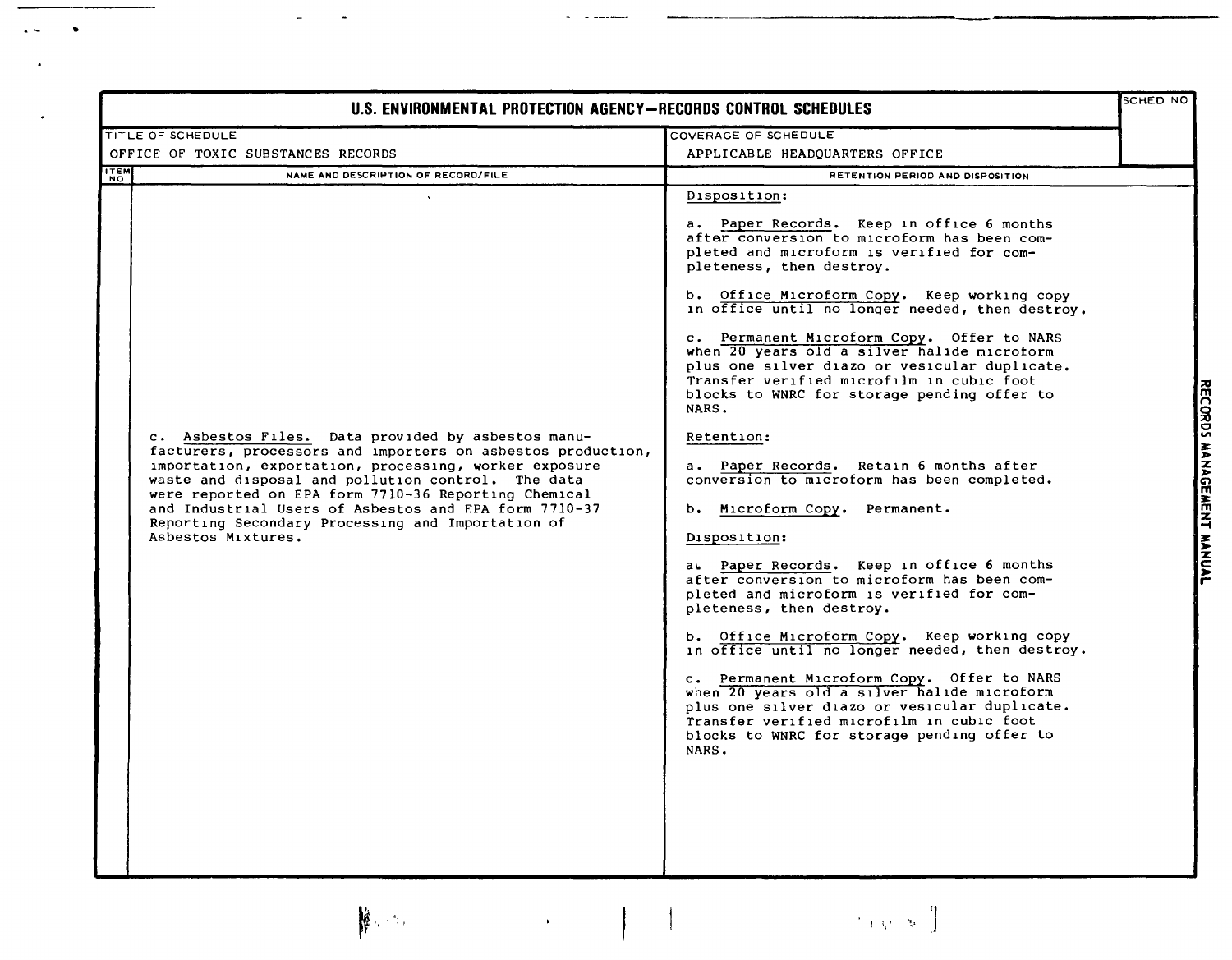| SCHED NO<br>U.S. ENVIRONMENTAL PROTECTION AGENCY-RECORDS CONTROL SCHEDULES                                                                                                                                                                                                                                                                                                                                                   |                                                                                                                                                                                                                                                                                                                                                                                                                                                                                                                                                                                                                                                                                                                                                                                                                                                                                                                                                                                                                                                                                                                                                                                                                           |                           |
|------------------------------------------------------------------------------------------------------------------------------------------------------------------------------------------------------------------------------------------------------------------------------------------------------------------------------------------------------------------------------------------------------------------------------|---------------------------------------------------------------------------------------------------------------------------------------------------------------------------------------------------------------------------------------------------------------------------------------------------------------------------------------------------------------------------------------------------------------------------------------------------------------------------------------------------------------------------------------------------------------------------------------------------------------------------------------------------------------------------------------------------------------------------------------------------------------------------------------------------------------------------------------------------------------------------------------------------------------------------------------------------------------------------------------------------------------------------------------------------------------------------------------------------------------------------------------------------------------------------------------------------------------------------|---------------------------|
| TITLE OF SCHEDULE                                                                                                                                                                                                                                                                                                                                                                                                            | COVERAGE OF SCHEDULE                                                                                                                                                                                                                                                                                                                                                                                                                                                                                                                                                                                                                                                                                                                                                                                                                                                                                                                                                                                                                                                                                                                                                                                                      |                           |
| OFFICE OF TOXIC SUBSTANCES RECORDS                                                                                                                                                                                                                                                                                                                                                                                           | APPLICABLE HEADQUARTERS OFFICE                                                                                                                                                                                                                                                                                                                                                                                                                                                                                                                                                                                                                                                                                                                                                                                                                                                                                                                                                                                                                                                                                                                                                                                            |                           |
| <b>ITEM</b><br>NAME AND DESCRIPTION OF RECORD/FILE                                                                                                                                                                                                                                                                                                                                                                           | RETENTION PERIOD AND DISPOSITION                                                                                                                                                                                                                                                                                                                                                                                                                                                                                                                                                                                                                                                                                                                                                                                                                                                                                                                                                                                                                                                                                                                                                                                          |                           |
| c. Asbestos Files. Data provided by asbestos manu-<br>facturers, processors and importers on asbestos production,<br>importation, exportation, processing, worker exposure<br>waste and disposal and pollution control. The data<br>were reported on EPA form 7710-36 Reporting Chemical<br>and Industrial Users of Asbestos and EPA form 7710-37<br>Reporting Secondary Processing and Importation of<br>Asbestos Mixtures. | Disposition:<br>a. Paper Records. Keep in office 6 months<br>after conversion to microform has been com-<br>pleted and microform is verified for com-<br>pleteness, then destroy.<br>b. Office Microform Copy. Keep working copy<br>in office until no longer needed, then destroy.<br>c. Permanent Microform Copy. Offer to NARS<br>when 20 years old a silver halide microform<br>plus one silver diazo or vesicular duplicate.<br>Transfer verified microfilm in cubic foot<br>blocks to WNRC for storage pending offer to<br>NARS.<br>Retention:<br>a. Paper Records. Retain 6 months after<br>conversion to microform has been completed.<br>b. Microform Copy. Permanent.<br>Disposition:<br>a. Paper Records. Keep in office 6 months<br>after conversion to microform has been com-<br>pleted and microform is verified for com-<br>pleteness, then destroy.<br>b. Office Microform Copy. Keep working copy<br>in office until no longer needed, then destroy.<br>c. Permanent Microform Copy. Offer to NARS<br>when 20 years old a silver halide microform<br>plus one silver diazo or vesicular duplicate.<br>Transfer verified microfilm in cubic foot<br>blocks to WNRC for storage pending offer to<br>NARS. | RECORDS MANAGEMENT MANUAL |

 $\mathbb{R}^{n \times n}$  ,  $r \in \mathbb{R}^{n}$ 

•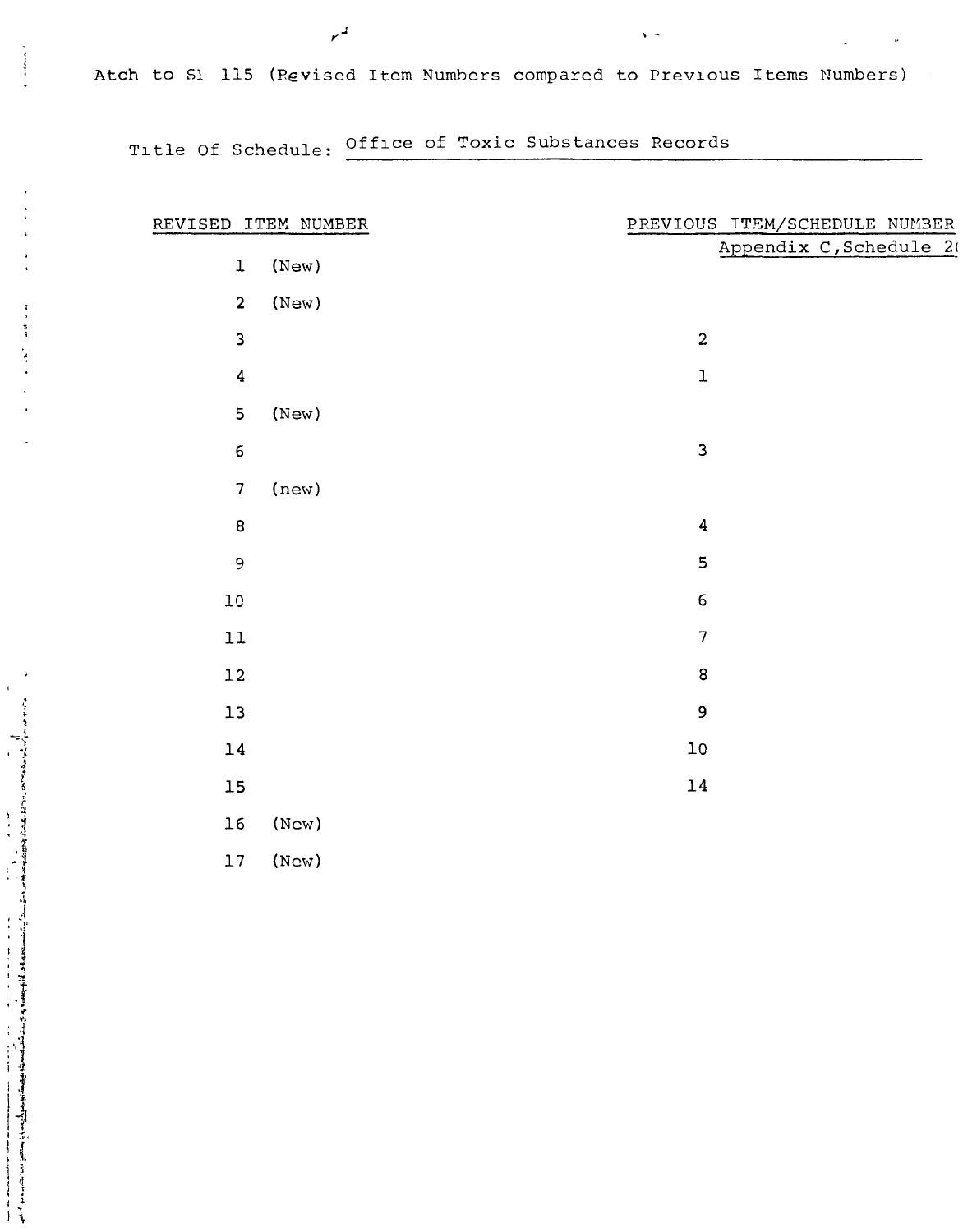Atch to 51 115 (Pevised Item Numhers compared to Prevlous Items Numbers)

· -

Tltle Of Schedule: Offlce of Toxic Substances Records

 $r^2$ 

 $\frac{1}{2}$ 

 $\bar{\ell}$ 

|                | REVISED ITEM NUMBER | PREVIOUS ITEM/SCHEDULE NUMBER |
|----------------|---------------------|-------------------------------|
| $\mathbf 1$    | (New)               | Appendix C, Schedule 20       |
|                |                     |                               |
| $\mathbf 2$    | (New)               |                               |
| $\mathsf{3}$   |                     | $\overline{c}$                |
| $\pmb{4}$      |                     | $\mathbf 1$                   |
| $\overline{5}$ | (New)               |                               |
| $\epsilon$     |                     | 3                             |
| $\sqrt{ }$     | (new)               |                               |
| $\bf 8$        |                     | $\pmb{4}$                     |
| $\mathbf 9$    |                     | 5                             |
| ${\tt l0}$     |                     | 6                             |
| $11\,$         |                     | $\overline{7}$                |
| $12\,$         |                     | 8                             |
| $13\,$         |                     | 9                             |
| $14\,$         |                     | $10\,$                        |
| $15\,$         |                     | $14\,$                        |
| $16\,$         | (New)               |                               |
| $17\,$         | (New)               |                               |